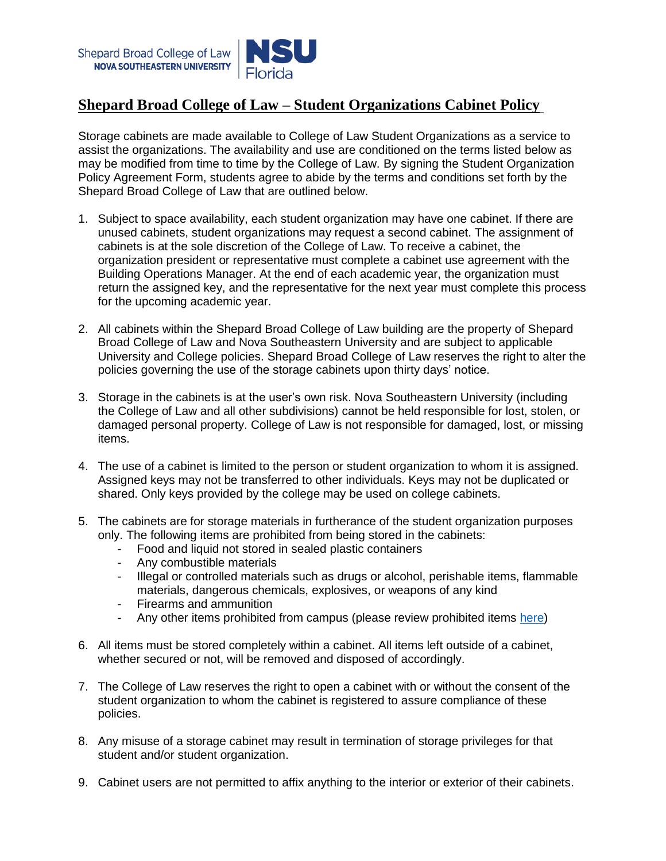

## **Shepard Broad College of Law – Student Organizations Cabinet Policy**

Storage cabinets are made available to College of Law Student Organizations as a service to assist the organizations. The availability and use are conditioned on the terms listed below as may be modified from time to time by the College of Law. By signing the Student Organization Policy Agreement Form, students agree to abide by the terms and conditions set forth by the Shepard Broad College of Law that are outlined below.

- 1. Subject to space availability, each student organization may have one cabinet. If there are unused cabinets, student organizations may request a second cabinet. The assignment of cabinets is at the sole discretion of the College of Law. To receive a cabinet, the organization president or representative must complete a cabinet use agreement with the Building Operations Manager. At the end of each academic year, the organization must return the assigned key, and the representative for the next year must complete this process for the upcoming academic year.
- 2. All cabinets within the Shepard Broad College of Law building are the property of Shepard Broad College of Law and Nova Southeastern University and are subject to applicable University and College policies. Shepard Broad College of Law reserves the right to alter the policies governing the use of the storage cabinets upon thirty days' notice.
- 3. Storage in the cabinets is at the user's own risk. Nova Southeastern University (including the College of Law and all other subdivisions) cannot be held responsible for lost, stolen, or damaged personal property. College of Law is not responsible for damaged, lost, or missing items.
- 4. The use of a cabinet is limited to the person or student organization to whom it is assigned. Assigned keys may not be transferred to other individuals. Keys may not be duplicated or shared. Only keys provided by the college may be used on college cabinets.
- 5. The cabinets are for storage materials in furtherance of the student organization purposes only. The following items are prohibited from being stored in the cabinets:
	- Food and liquid not stored in sealed plastic containers
	- Any combustible materials
	- Illegal or controlled materials such as drugs or alcohol, perishable items, flammable materials, dangerous chemicals, explosives, or weapons of any kind
	- Firearms and ammunition
	- Any other items prohibited from campus (please review prohibited items [here\)](https://www.nova.edu/publicsafety/forms/campus_safety_handbook.pdf)
- 6. All items must be stored completely within a cabinet. All items left outside of a cabinet, whether secured or not, will be removed and disposed of accordingly.
- 7. The College of Law reserves the right to open a cabinet with or without the consent of the student organization to whom the cabinet is registered to assure compliance of these policies.
- 8. Any misuse of a storage cabinet may result in termination of storage privileges for that student and/or student organization.
- 9. Cabinet users are not permitted to affix anything to the interior or exterior of their cabinets.